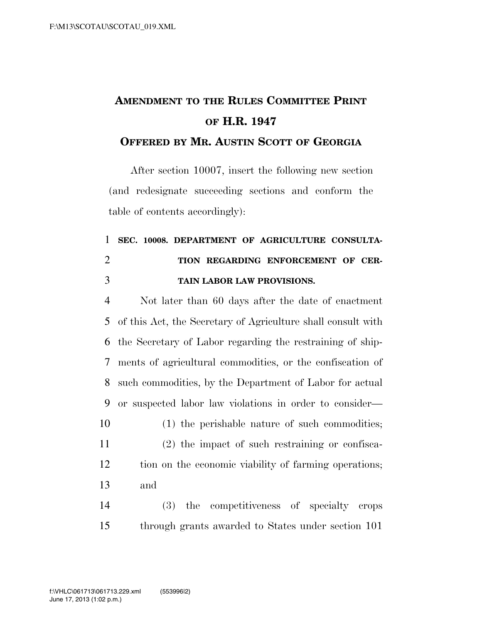## **AMENDMENT TO THE RULES COMMITTEE PRINT OF H.R. 1947**

## **OFFERED BY MR. AUSTIN SCOTT OF GEORGIA**

After section 10007, insert the following new section (and redesignate succeeding sections and conform the table of contents accordingly):

## **SEC. 10008. DEPARTMENT OF AGRICULTURE CONSULTA- TION REGARDING ENFORCEMENT OF CER-TAIN LABOR LAW PROVISIONS.**

 Not later than 60 days after the date of enactment of this Act, the Secretary of Agriculture shall consult with the Secretary of Labor regarding the restraining of ship- ments of agricultural commodities, or the confiscation of such commodities, by the Department of Labor for actual or suspected labor law violations in order to consider— (1) the perishable nature of such commodities; (2) the impact of such restraining or confisca- tion on the economic viability of farming operations; and (3) the competitiveness of specialty crops

through grants awarded to States under section 101